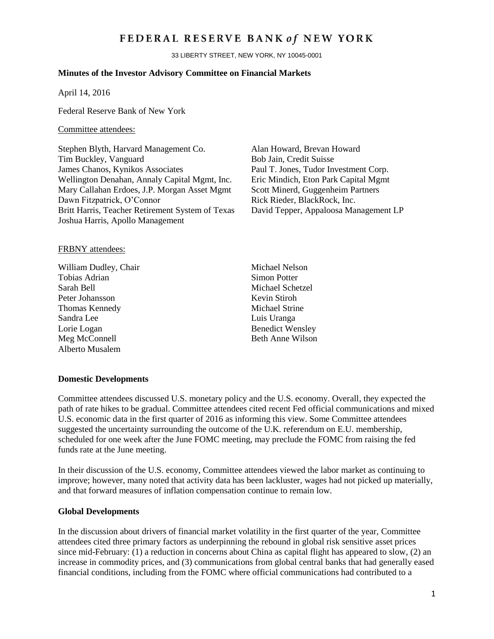## FEDERAL RESERVE BANK of NEW YORK

33 LIBERTY STREET, NEW YORK, NY 10045-0001

## **Minutes of the Investor Advisory Committee on Financial Markets**

April 14, 2016

Federal Reserve Bank of New York

#### Committee attendees:

Stephen Blyth, Harvard Management Co. Alan Howard, Brevan Howard Tim Buckley, Vanguard Bob Jain, Credit Suisse James Chanos, Kynikos Associates Paul T. Jones, Tudor Investment Corp. Wellington Denahan, Annaly Capital Mgmt, Inc. Eric Mindich, Eton Park Capital Mgmt Mary Callahan Erdoes, J.P. Morgan Asset Mgmt Dawn Fitzpatrick, O'Connor Britt Harris, Teacher Retirement System of Texas David Tepper, Appaloosa Management LP Joshua Harris, Apollo Management

Scott Minerd, Guggenheim Partners Rick Rieder, BlackRock, Inc.

## FRBNY attendees:

- William Dudley, Chair Michael Nelson Tobias Adrian Simon Potter Sarah Bell Michael Schetzel Peter Johansson Kevin Stiroh Thomas Kennedy Michael Strine Sandra Lee Luis Uranga Lorie Logan Benedict Wensley Meg McConnell Beth Anne Wilson Alberto Musalem
	-

## **Domestic Developments**

Committee attendees discussed U.S. monetary policy and the U.S. economy. Overall, they expected the path of rate hikes to be gradual. Committee attendees cited recent Fed official communications and mixed U.S. economic data in the first quarter of 2016 as informing this view. Some Committee attendees suggested the uncertainty surrounding the outcome of the U.K. referendum on E.U. membership, scheduled for one week after the June FOMC meeting, may preclude the FOMC from raising the fed funds rate at the June meeting.

In their discussion of the U.S. economy, Committee attendees viewed the labor market as continuing to improve; however, many noted that activity data has been lackluster, wages had not picked up materially, and that forward measures of inflation compensation continue to remain low.

#### **Global Developments**

In the discussion about drivers of financial market volatility in the first quarter of the year, Committee attendees cited three primary factors as underpinning the rebound in global risk sensitive asset prices since mid-February: (1) a reduction in concerns about China as capital flight has appeared to slow, (2) an increase in commodity prices, and (3) communications from global central banks that had generally eased financial conditions, including from the FOMC where official communications had contributed to a